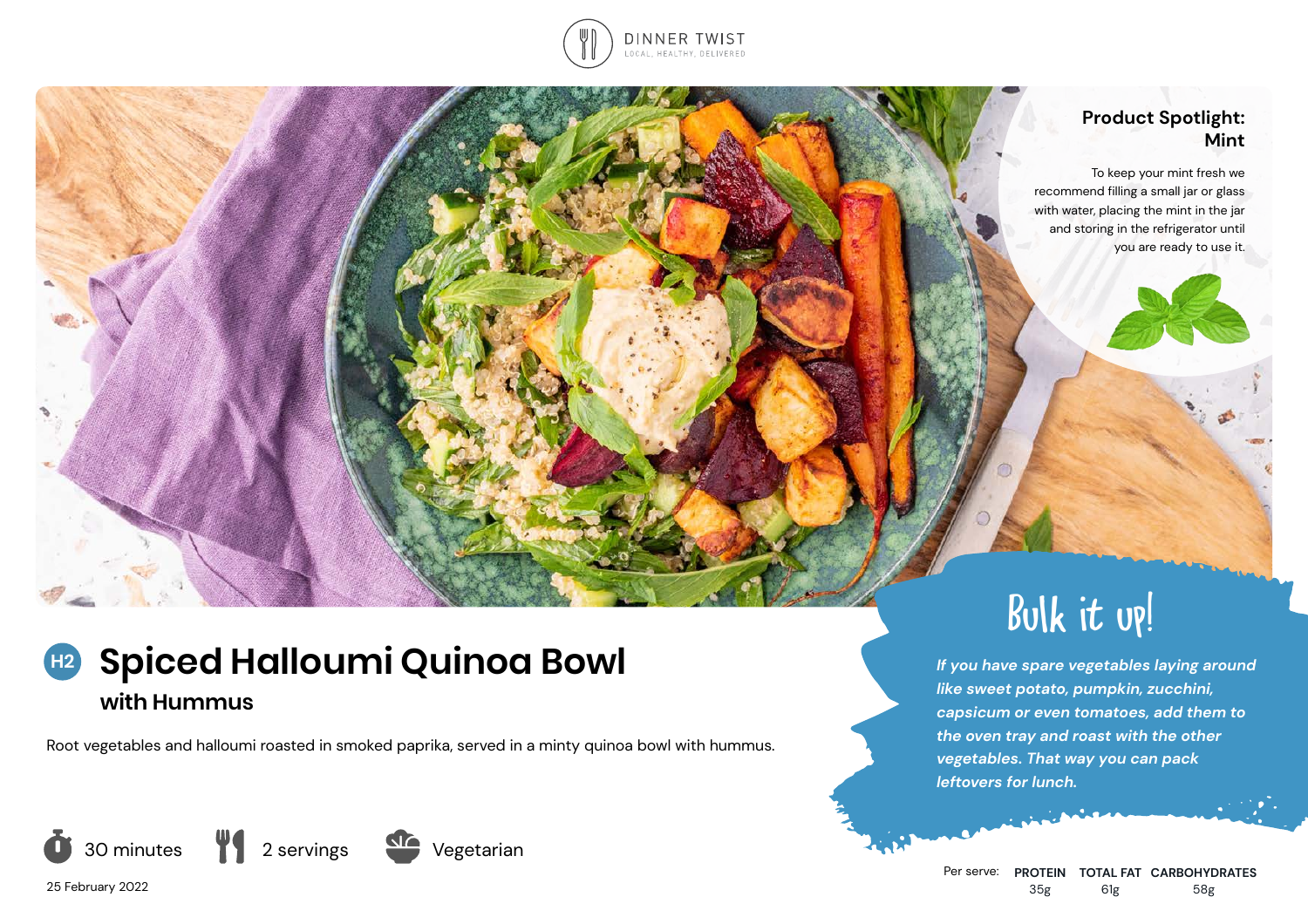

### **Product Spotlight: Mint**

To keep your mint fresh we recommend filling a small jar or glass with water, placing the mint in the jar and storing in the refrigerator until you are ready to use it.

# **H2** Spiced Halloumi Quinoa Bowl **If you have spare vegetables laying around with Hummus**

Root vegetables and halloumi roasted in smoked paprika, served in a minty quinoa bowl with hummus.







25 February 2022



*like sweet potato, pumpkin, zucchini, capsicum or even tomatoes, add them to the oven tray and roast with the other vegetables. That way you can pack* 

Bulk it up!

*leftovers for lunch.*